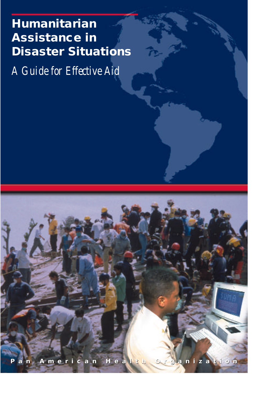## **Humanitarian Assistance in Disaster Situations**

*A Guide for Effective Aid*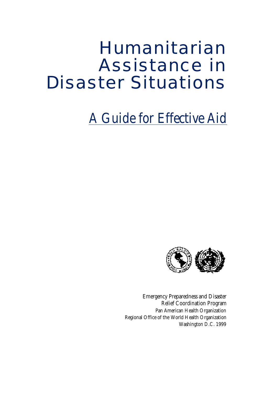# Humanitarian Assistance in Disaster Situations

# A Guide for Effective Aid



Emergency Preparedness and Disaster Relief Coordination Program Pan American Health Organization Regional Office of the World Health Organization Washington D.C. 1999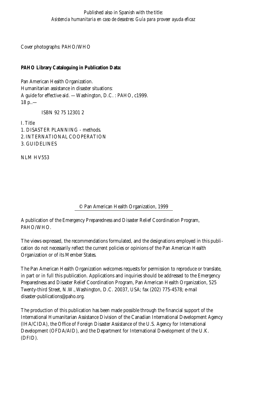Published also in Spanish with the title: *Asistencia humanitaria en caso de desastres: Guía para proveer ayuda eficaz*

Cover photographs: PAHO/WHO

#### **PAHO Library Cataloguing in Publication Data:**

Pan American Health Organization. Humanitarian assistance in disaster situations: A guide for effective aid. —Washington, D.C. : PAHO, c1999. 18 p..—

ISBN 92 75 12301 2

I. Title

1. DISASTER PLANNING - methods. 2. INTERNATIONAL COOPERATION 3. GUIDELINES

#### NLM HV553

#### © Pan American Health Organization, 1999

A publication of the Emergency Preparedness and Disaster Relief Coordination Program, PAHO/WHO.

The views expressed, the recommendations formulated, and the designations employed in this publication do not necessarily reflect the current policies or opinions of the Pan American Health Organization or of its Member States.

The Pan American Health Organization welcomes requests for permission to reproduce or translate, in part or in full this publication. Applications and inquiries should be addressed to the Emergency Preparedness and Disaster Relief Coordination Program, Pan American Health Organization, 525 Twenty-third Street, N.W., Washington, D.C. 20037, USA; fax (202) 775-4578; e-mail disaster-publications@paho.org.

The production of this publication has been made possible through the financial support of the International Humanitarian Assistance Division of the Canadian International Development Agency (IHA/CIDA), the Office of Foreign Disaster Assistance of the U.S. Agency for International Development (OFDA/AID), and the Department for International Development of the U.K. (DFID).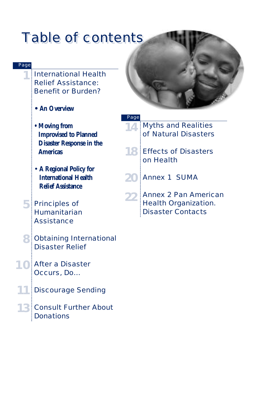## **Table of contents**

| r.<br>۰ı |
|----------|
|----------|

**1**

#### **International Health Relief Assistance: Benefit or Burden?**

- An Overview
- **Moving from Improvised to Planned Disaster Response in the** A mericas
- **A Regional Policy for International Health Relief Assistance**
- Principles of **5 Humanitarian Assistance**
- **8** Obtaining International **Disaster Relief**
- 10 After a Disaster Occurs, Do...
- **11** Discourage Sending
- **13** Consult Further About **Donations**



#### Page

- Myths and Realities of Natural Disasters **1 4**
- **18** Effects of Disasters on Health
- **20** Annex 1 SUMA
- **Annex 2 Pan American Health Organization.** Disaster Contacts <u>22</u>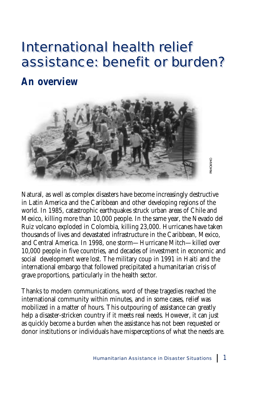## International health relief assistance: benefit or burden?

### An overview



Natural, as well as complex disasters have become increasingly destructive in Latin America and the Caribbean and other developing regions of the world. In 1985, catastrophic earthquakes struck urban areas of Chile and Mexico, killing more than 10,000 people. In the same year, the Nevado del Ruiz volcano exploded in Colombia, killing 23,000. Hurricanes have taken thousands of lives and devastated infrastructure in the Caribbean, Mexico, and Central America. In 1998, one storm—Hurricane Mitch—killed over 10,000 people in five countries, and decades of investment in economic and social development were lost. The military coup in 1991 in Haiti and the international embargo that followed precipitated a humanitarian crisis of grave proportions, particularly in the health sector.

Thanks to modern communications, word of these tragedies reached the international community within minutes, and in some cases, relief was mobilized in a matter of hours. This outpouring of assistance can greatly help a disaster-stricken country if it meets real needs. However, it can just as quickly become a burden when the assistance has not been requested or donor institutions or individuals have misperceptions of what the needs are.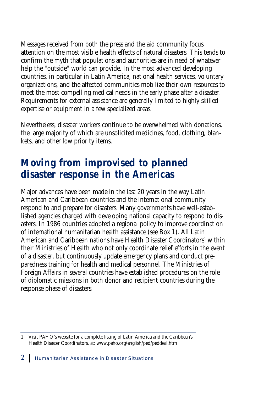Messages received from both the press and the aid community focus attention on the most visible health effects of natural disasters. This tends to confirm the myth that populations and authorities are in need of whatever help the "outside" world can provide. In the most advanced developing countries, in particular in Latin America, national health services, voluntary organizations, and the affected communities mobilize their own resources to meet the most compelling medical needs in the early phase after a disaster. Requirements for external assistance are generally limited to highly skilled expertise or equipment in a few specialized areas.

Nevertheless, disaster workers continue to be overwhelmed with donations, the large majority of which are unsolicited medicines, food, clothing, blankets, and other low priority items.

### **Moving from improvised to planned**  disaster response in the Americas

Major advances have been made in the last 20 years in the way Latin American and Caribbean countries and the international community respond to and prepare for disasters. Many governments have well-established agencies charged with developing national capacity to respond to disasters. In 1986 countries adopted a regional policy to improve coordination of international humanitarian health assistance (see Box 1). All Latin American and Caribbean nations have Health Disaster Coordinators<sup>1</sup> within their Ministries of Health who not only coordinate relief efforts in the event of a disaster, but continuously update emergency plans and conduct preparedness training for health and medical personnel. The Ministries of Foreign Affairs in several countries have established procedures on the role of diplomatic missions in both donor and recipient countries during the response phase of disasters.

<sup>1.</sup> Visit PAHO's website for a complete listing of Latin America and the Caribbean's Health Disaster Coordinators, at: www.paho.org/english/ped/peddeal.htm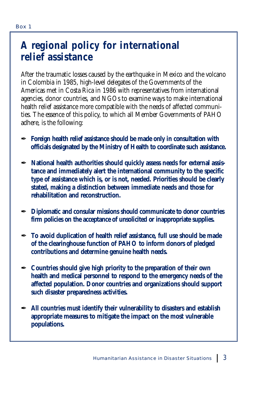### **A regional policy for international relief assistance**

After the traumatic losses caused by the earthquake in Mexico and the volcano in Colombia in 1985, high-level delegates of the Governments of the Americas met in Costa Rica in 1986 with representatives from international agencies, donor countries, and NGOs to examine ways to make international health relief assistance more compatible with the needs of affected communities. The essence of this policy, to which all Member Governments of PAHO adhere, is the following:

- ✒ **Fo reign health relief assistance should be made only in consultation with** officials designated by the Ministry of Health to coordinate such assistance.
- ✒ **National health authorities should quickly assess needs for external assistance and immediately alert the international community to the specific** type of assistance which is, or is not, needed. Priorities should be clearly **stated, making a distinction between immediate needs and those for rehabilitation and reconstruction.**
- **∕** Diplomatic and consular missions should communicate to donor countries firm policies on the acceptance of unsolicited or inappropriate supplies.
- ✒ **To avoid duplication of health relief assistance, full use should be made of the clearinghouse function of PAHO to inform donors of pledged** contributions and determine genuine health needs.
- **∕** Countries should give high priority to the preparation of their own **health and medical personnel to respond to the emergency needs of the affected population. Donor countries and organizations should support** such disaster preparedness activities.
- ✒ **All countries must identify their vulnerability to disasters and establish** appropriate measures to mitigate the impact on the most vulnerable populations.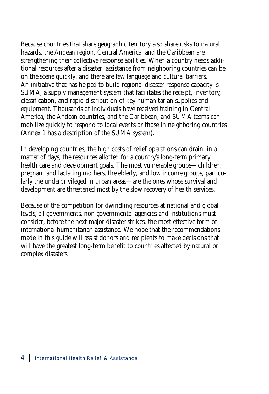Because countries that share geographic territory also share risks to natural hazards, the Andean region, Central America, and the Caribbean are strengthening their collective response abilities. When a country needs additional resources after a disaster, assistance from neighboring countries can be on the scene quickly, and there are few language and cultural barriers. An initiative that has helped to build regional disaster response capacity is SUMA, a supply management system that facilitates the receipt, inventory, classification, and rapid distribution of key humanitarian supplies and equipment. Thousands of individuals have received training in Central America, the Andean countries, and the Caribbean, and SUMA teams can mobilize quickly to respond to local events or those in neighboring countries (Annex 1 has a description of the SUMA system).

In developing countries, the high costs of relief operations can drain, in a matter of days, the resources allotted for a country's long-term primary health care and development goals. The most vulnerable groups—children, pregnant and lactating mothers, the elderly, and low income groups, particularly the underprivileged in urban areas—are the ones whose survival and development are threatened most by the slow recovery of health services.

Because of the competition for dwindling resources at national and global levels, all governments, non governmental agencies and institutions must consider, before the next major disaster strikes, the most effective form of international humanitarian assistance. We hope that the recommendations made in this guide will assist donors and recipients to make decisions that will have the greatest long-term benefit to countries affected by natural or complex disasters.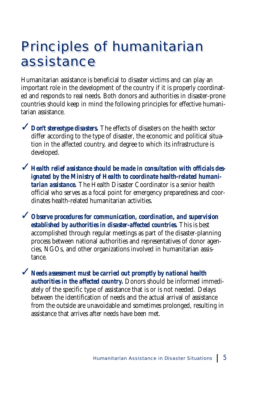## **Principles of humanitarian** assistance

Humanitarian assistance is beneficial to disaster victims and can play an important role in the development of the country if it is properly coordinated and responds to real needs. Both donors and authorities in disaster-prone countries should keep in mind the following principles for effective humanitarian assistance.

✓ *Don't stereotype disasters.* The effects of disasters on the health sector differ according to the type of disaster, the economic and political situation in the affected country, and degree to which its infrastructure is developed.

✓ *Health relief assistance should be made in consultation with officials designated by the Ministry of Health to coordinate health-related humanitarian assistance.* The Health Disaster Coordinator is a senior health official who serves as a focal point for emergency preparedness and coordinates health-related humanitarian activities.

✓*Observe procedures for communication, coordination, and supervision established by authorities in disaster-affected countries.* This is best accomplished through regular meetings as part of the disaster-planning process between national authorities and representatives of donor agencies, NGOs, and other organizations involved in humanitarian assistance.

✓*Needs assessment must be carried out promptly by national health authorities in the affected country.* Donors should be informed immediately of the specific type of assistance that is or is not needed. Delays between the identification of needs and the actual arrival of assistance from the outside are unavoidable and sometimes prolonged, resulting in assistance that arrives after needs have been met.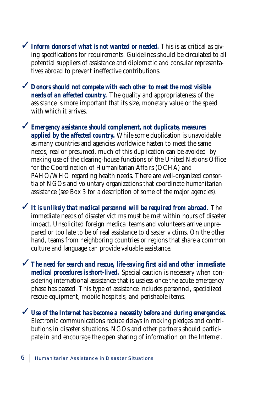✓*Inform donors of what is not wanted or needed.* This is as critical as giving specifications for requirements. Guidelines should be circulated to all potential suppliers of assistance and diplomatic and consular representatives abroad to prevent ineffective contributions.

✓ *Donors should not compete with each other to meet the most visible needs of an affected country.* The quality and appropriateness of the assistance is more important that its size, monetary value or the speed with which it arrives.

✓*Emergency assistance should complement, not duplicate, measures applied by the affected country.* While some duplication is unavoidable as many countries and agencies worldwide hasten to meet the same needs, real or presumed, much of this duplication can be avoided by making use of the clearing-house functions of the United Nations Office for the Coordination of Humanitarian Affairs (OCHA) and PAHO/WHO regarding health needs. There are well-organized consortia of NGOs and voluntary organizations that coordinate humanitarian assistance (see Box 3 for a description of some of the major agencies).

✓*It is unlikely that medical personnel will be required from abroad.* The immediate needs of disaster victims must be met within hours of disaster impact. Unsolicited foreign medical teams and volunteers arrive unprepared or too late to be of real assistance to disaster victims. On the other hand, teams from neighboring countries or regions that share a common culture and language can provide valuable assistance.

✓*The need for search and rescue, life-saving first aid and other immediate medical procedures is short-lived.* Special caution is necessary when considering international assistance that is useless once the acute emergency phase has passed. This type of assistance includes personnel, specialized rescue equipment, mobile hospitals, and perishable items.

✓*Use of the Internet has become a necessity before and during emergencies.* Electronic communications reduce delays in making pledges and contributions in disaster situations. NGOs and other partners should participate in and encourage the open sharing of information on the Internet.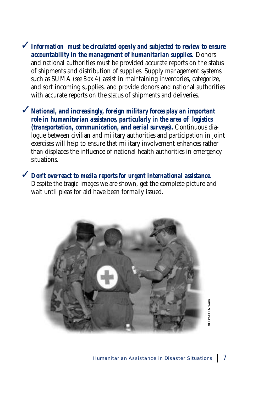✓*Information must be circulated openly and subjected to review to ensure accountability in the management of humanitarian supplies.* Donors and national authorities must be provided accurate reports on the status of shipments and distribution of supplies. Supply management systems such as SUMA *(see Box 4)* assist in maintaining inventories, categorize, and sort incoming supplies, and provide donors and national authorities with accurate reports on the status of shipments and deliveries.

✓*National, and increasingly, foreign military forces play an important role in humanitarian assistance, particularly in the area of logistics (transportation, communication, and aerial surveys).* Continuous dialogue between civilian and military authorities and participation in joint exercises will help to ensure that military involvement enhances rather than displaces the influence of national health authorities in emergency situations.

✓ *Don't overreact to media reports for urgent international assistance.* Despite the tragic images we are shown, get the complete picture and wait until pleas for aid have been formally issued.



**AHOWHO A Waak**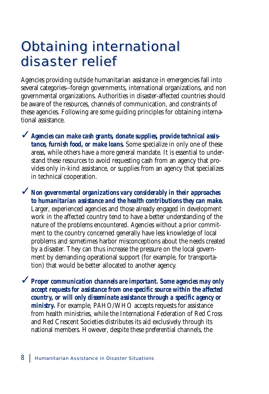# **Obtaining international** disaster relief

Agencies providing outside humanitarian assistance in emergencies fall into several categories--foreign governments, international organizations, and non governmental organizations. Authorities in disaster-affected countries should be aware of the resources, channels of communication, and constraints of these agencies. Following are some guiding principles for obtaining international assistance.

✓*Agencies can make cash grants, donate supplies, provide technical assistance, furnish food, or make loans.* Some specialize in only one of these areas, while others have a more general mandate. It is essential to understand these resources to avoid requesting cash from an agency that provides only in-kind assistance, or supplies from an agency that specializes in technical cooperation.

#### ✓*Non governmental organizations vary considerably in their approaches to humanitarian assistance and the health contributions they can make.*

Larger, experienced agencies and those already engaged in development work in the affected country tend to have a better understanding of the nature of the problems encountered. Agencies without a prior commitment to the country concerned generally have less knowledge of local problems and sometimes harbor misconceptions about the needs created by a disaster. They can thus increase the pressure on the local government by demanding operational support (for example, for transportation) that would be better allocated to another agency.

✓*Proper communication channels are important. Some agencies may only accept requests for assistance from one specific source within the affected country, or will only disseminate assistance through a specific agency or ministry.* For example, PAHO/WHO accepts requests for assistance from health ministries, while the International Federation of Red Cross and Red Crescent Societies distributes its aid exclusively through its national members. However, despite these preferential channels, the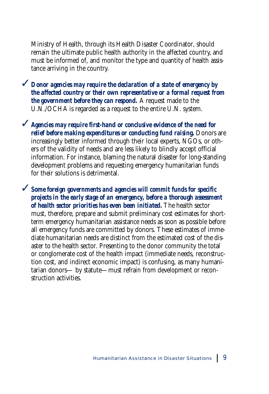Ministry of Health, through its Health Disaster Coordinator, should remain the ultimate public health authority in the affected country, and must be informed of, and monitor the type and quantity of health assistance arriving in the country.

✓ *Donor agencies may require the declaration of a state of emergency by the affected country or their own representative or a formal request from the government before they can respond.* A request made to the U.N./OCHA is regarded as a request to the entire U.N. system.

✓*Agencies may require first-hand or conclusive evidence of the need for relief before making expenditures or conducting fund raising.* Donors are increasingly better informed through their local experts, NGOs, or others of the validity of needs and are less likely to blindly accept official information. For instance, blaming the natural disaster for long-standing development problems and requesting emergency humanitarian funds for their solutions is detrimental.

#### ✓*Some foreign governments and agencies will commit funds for specific projects in the early stage of an emergency, before a thorough assessment of health sector priorities has even been initiated.* The health sector

must, therefore, prepare and submit preliminary cost estimates for shortterm emergency humanitarian assistance needs as soon as possible before all emergency funds are committed by donors. These estimates of immediate humanitarian needs are distinct from the estimated cost of the disaster to the health sector. Presenting to the donor community the total or conglomerate cost of the health impact (immediate needs, reconstruction cost, and indirect economic impact) is confusing, as many humanitarian donors— by statute—must refrain from development or reconstruction activities.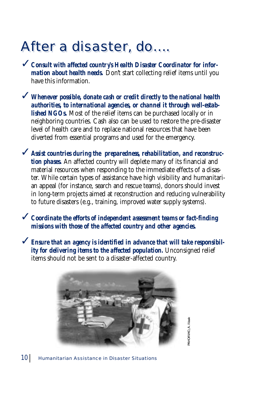# After a disaster, do....

✓*Consult with affected country's Health Disaster Coordinator for information about health needs.* Don't start collecting relief items until you have this information.

✓ *Whenever possible, donate cash or credit directly to the national health authorities, to international agencies, or channel it through well-established NGOs.* Most of the relief items can be purchased locally or in neighboring countries. Cash also can be used to restore the pre-disaster level of health care and to replace national resources that have been diverted from essential programs and used for the emergency.

✓*Assist countries during the preparedness, rehabilitation, and reconstruction phases.* An affected country will deplete many of its financial and material resources when responding to the immediate effects of a disaster. While certain types of assistance have high visibility and humanitarian appeal (for instance, search and rescue teams), donors should invest in long-term projects aimed at reconstruction and reducing vulnerability to future disasters (e.g., training, improved water supply systems).

#### ✓*Coordinate the efforts of independent assessment teams or fact-finding missions with those of the affected country and other agencies.*

✓*Ensure that an agency is identified in advance that will take responsibility for delivering items to the affected population.* Unconsigned relief items should not be sent to a disaster-affected country.



AHOWHO, A. Waak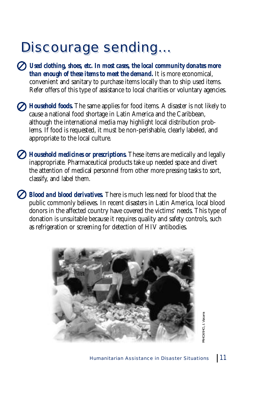## Discourage sending...

- *Used clothing, shoes, etc. In most cases, the local community donates more than enough of these items to meet the demand.* It is more economical, convenient and sanitary to purchase items locally than to ship used items. Refer offers of this type of assistance to local charities or voluntary agencies.
- *Household foods.* The same applies for food items. A disaster is not likely to cause a national food shortage in Latin America and the Caribbean, although the international media may highlight local distribution problems. If food is requested, it must be non-perishable, clearly labeled, and appropriate to the local culture.
- *Household medicines or prescriptions.* These items are medically and legally in appropriate. Pharmaceutical products take up needed space and divert the attention of medical personnel from other more pressing tasks to sort, classify, and label them.
- *P* Blood and blood derivatives. There is much less need for blood that the public commonly believes. In recent disasters in Latin America, local blood donors in the affected country have covered the victims' needs. This type of donation is unsuitable because it requires quality and safety controls, such as refrigeration or screening for detection of HIV antibodies.

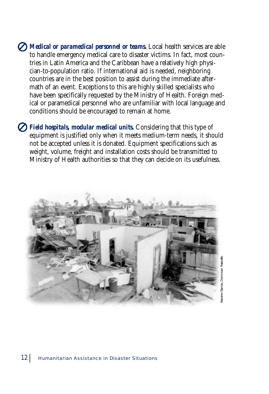*Medical or paramedical personnel or teams.* Local health services are able to handle emergency medical care to disaster victims. In fact, most countries in Latin America and the Caribbean have a relatively high physician-to-population ratio. If international aid is needed, neighboring countries are in the best position to assist during the immediate aftermath of an event. Exceptions to this are highly skilled specialists who have been specifically requested by the Ministry of Health. Foreign medical or paramedical personnel who are unfamiliar with local language and conditions should be encouraged to remain at home.

*Field hospitals, modular medical units.* Considering that this type of equipment is justified only when it meets medium-term needs, it should not be accepted unless it is donated. Equipment specifications such as weight, volume, freight and installation costs should be transmitted to Ministry of Health authorities so that they can decide on its usefulness.



**Jazaro García, Dominican Republic**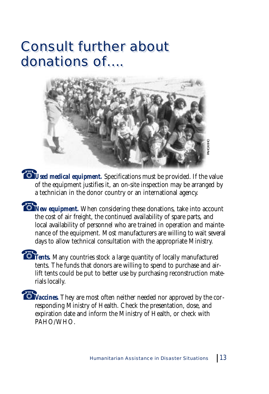## Consult further about donations of....



*Used medical equipment.* Specifications must be provided. If the value of the equipment justifies it, an on-site inspection may be arranged by a technician in the donor country or an international agency.

*New equipment.* When considering these donations, take into account the cost of air freight, the continued availability of spare parts, and local availability of personnel who are trained in operation and maintenance of the equipment. Most manufacturers are willing to wait several days to allow technical consultation with the appropriate Ministry.

**Tents.** Many countries stock a large quantity of locally manufactured tents. The funds that donors are willing to spend to purchase and airlift tents could be put to better use by purchasing reconstruction materials locally.

*Vaccines.* They are most often neither needed nor approved by the corresponding Ministry of Health. Check the presentation, dose, and expiration date and inform the Ministry of Health, or check with PAHO/WHO.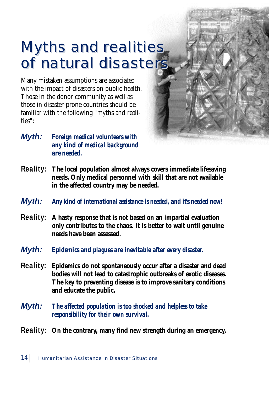# Myths and realities Myths and realities of natural disasters

Many mistaken assumptions are associated with the impact of disasters on public health. Those in the donor community as well as those in disaster-prone countries should be familiar with the following "myths and realities":

- **Myth:** *Foreign medical volunteers with any kind of medical background are needed.*
- **Reality: The local population almost always covers immediate lifesaving needs. Only medical personnel with skill that are not available in the affected country may be needed.**
- **Myth:** *Any kind of international assistance is needed, and it's needed now !*
- **Reality: A hasty response that is not based on an impartial evaluation only contributes to the chaos. It is better to wait until genuine needs have been assessed.**
- **Myth:** *Epidemics and plagues are inevitable after every disaster.*
- **Reality: Epidemics do not spontaneously occur after a disaster and dead bodies will not lead to catastrophic outbreaks of exotic diseases. The key to preventing disease is to improve sanitary conditions and educate the public.**
- **Myth:** *The affected population is too shocked and helpless to take responsibility for their own survival.*
- **Reality: On the contrary, many find new strength during an emergency,**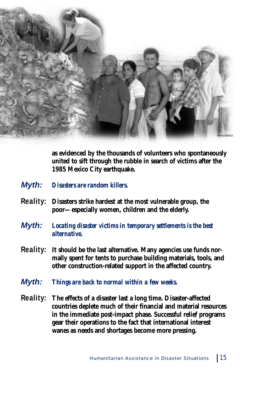

**as evidenced by the thousands of volunteers who spontaneously united to sift through the rubble in search of victims after the 1985 Mexico City earthquake.**

- **Myth:** *Disasters are random killers.*
- **Reality: Disasters strike hardest at the most vulnerable group, the poor—especially women, children and the elderly.**
- **Myth:** *Locating disaster victims in temporary settlements is the best alternative.*
- **Reality: It should be the last alternative. Many agencies use funds normally spent for tents to purchase building materials, tools, and other construction-related support in the affected country.**
- **Myth:** *Things are back to normal within a few weeks.*
- **Reality: The effects of a disaster last a long time. Disaster-affected countries deplete much of their financial and material resources in the immediate post-impact phase. Successful relief programs gear their operations to the fact that international interest wanes as needs and shortages become more pressing.**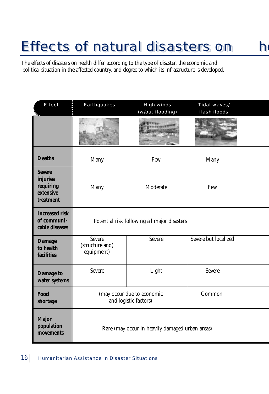# Effects of natural disasters on

The effects of disasters on health differ according to the type of disaster, the economic and political situation in the affected country, and degree to which its infrastructure is developed.

| <b>Effect</b>                                                    | <b>Earthquakes</b>                                  | <b>High winds</b><br>(w/out flooding) | <b>Tidal waves/</b><br>flash floods |
|------------------------------------------------------------------|-----------------------------------------------------|---------------------------------------|-------------------------------------|
|                                                                  |                                                     |                                       |                                     |
| <b>Deaths</b>                                                    | Many                                                | Few                                   | Many                                |
| <b>Severe</b><br>injuries<br>requiring<br>extensive<br>treatment | Many                                                | Moderate                              | Few                                 |
| <b>Increased risk</b><br>of communi-<br>cable diseases           | Potential risk following all major disasters        |                                       |                                     |
| <b>Damage</b><br>to health<br><b>facilities</b>                  | <b>Severe</b><br>(structure and)<br>equipment)      | <b>Severe</b>                         | Severe but localized                |
| Damage to<br>water systems                                       | <b>Severe</b>                                       | Light                                 | <b>Severe</b>                       |
| Food<br>shortage                                                 | (may occur due to economic<br>and logistic factors) |                                       | Common                              |
| <b>Major</b><br>population<br>movements                          | Rare (may occur in heavily damaged urban areas)     |                                       |                                     |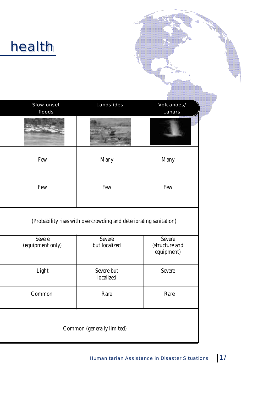

| <b>Slow-onset</b><br>floods | <b>Landslides</b>                                                                   | <b>Volcanoes/</b><br><b>Lahars</b> |
|-----------------------------|-------------------------------------------------------------------------------------|------------------------------------|
|                             |                                                                                     |                                    |
| Few                         | Many                                                                                | Many                               |
| Few                         | Few                                                                                 | Few                                |
| <b>Severe</b>               | (Probability rises with overcrowding and deteriorating sanitation)<br><b>Severe</b> | <b>Severe</b>                      |
| (equipment only)            | but localized                                                                       | (structure and<br>equipment)       |
| Light                       | Severe but<br>localized                                                             | Severe                             |
| Common                      | Rare                                                                                | Rare                               |
|                             | Common (generally limited)                                                          |                                    |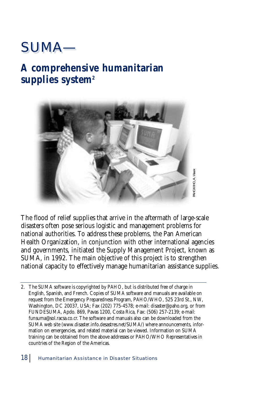

## A comprehensive humanitarian **supplies system<sup>2</sup>**



The flood of relief supplies that arrive in the aftermath of large-scale disasters often pose serious logistic and management problems for national authorities. To address these problems, the Pan American Health Organization, in conjunction with other international agencies and governments, initiated the Supply Management Project, known as SUMA, in 1992. The main objective of this project is to strengthen national capacity to effectively manage humanitarian assistance supplies.

<sup>2.</sup> The SUMA software is copyrighted by PAHO, but is distributed free of charge in English, Spanish, and French. Copies of SUMA software and manuals are available on request from the Emergency Preparedness Program, PAHO/WHO, 525 23rd St., NW, Washington, DC 20037, USA; Fax (202) 775-4578; e-mail: disaster@paho.org, or from FUNDESUMA, Apdo. 869, Pavas 1200, Costa Rica, Fax: (506) 257-2139; e-mail: funsuma@sol.racsa.co.cr. The software and manuals also can be downloaded from the SUMA web site (www.disaster.info.desastres.net/SUMA/) where announcements, information on emergencies, and related material can be viewed. Information on SUMA training can be obtained from the above addresses or PAHO/WHO Representatives in countries of the Region of the Americas.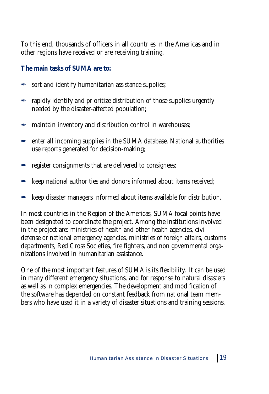To this end, thousands of officers in all countries in the Americas and in other regions have received or are receiving training.

#### **The main tasks of SUMA are to:**

- $\mathscr{L}$  sort and identify humanitarian assistance supplies;
- $\triangle$  rapidly identify and prioritize distribution of those supplies urgently needed by the disaster-affected population;
- ✒ maintain inventory and distribution control in warehouses;
- $\triangle$  enter all incoming supplies in the SUMA database. National authorities use reports generated for decision-making;
- $\triangle$  register consignments that are delivered to consignees;
- $\triangle$  keep national authorities and donors informed about items received;
- $\triangle$  keep disaster managers informed about items available for distribution.

In most countries in the Region of the Americas, SUMA focal points have been designated to coordinate the project. Among the institutions involved in the project are: ministries of health and other health agencies, civil defense or national emergency agencies, ministries of foreign affairs, customs departments, Red Cross Societies, fire fighters, and non governmental organizations involved in humanitarian assistance.

One of the most important features of SUMA is its flexibility. It can be used in many different emergency situations, and for response to natural disasters as well as in complex emergencies. The development and modification of the software has depended on constant feedback from national team members who have used it in a variety of disaster situations and training sessions.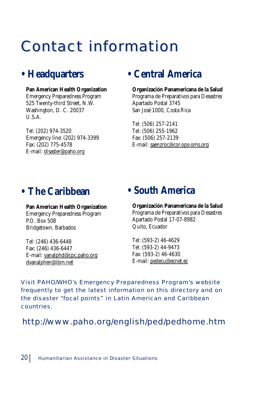# Contact information

### **• Headquarters**

#### **Pan American Health Organization**

Emergency Preparedness Program 525 Twenty-third Street, N.W. Washington, D. C. 20037 U.S.A.

Tel: (202) 974-3520 Emergency line: (202) 974-3399 Fax: (202) 775-4578 E-mail: disaster@paho.org

### **• Central America**

**Organización Panamericana de la Salud** Programa de Preparativos para Desastres Apartado Postal 3745 San José 1000, Costa Rica

Tel: (506) 257-2141 Tel: (506) 255-1962 Fax: (506) 257-2139 E-mail: saenzroc@cor.ops-oms.org

### **• The Caribbean**

#### **Pan American Health Organization**

Emergency Preparedness Program P.O. Box 508 Bridgetown, Barbados

Tel: (246) 436-6448 Fax: (246) 436-6447 E-mail: vanalphd@cpc.paho.org dvanalphen@ibm.net

### **• South America**

**Organización Panamericana de la Salud** Programa de Preparativos para Desastres Apartado Postal 17-07-8982 Quito, Ecuador

Tel: (593-2) 46-4629 Tel: (593-2) 44-9473 Fax: (593-2) 46-4630 E-mail: pedecu@ecnet.ec

Visit PAHO/WHO's Emergency Preparedness Program's website frequently to get the latest information on this directory and on the disaster "focal points" in Latin American and Caribbean countries.

http://www.paho.org/english/ped/pedhome.htm